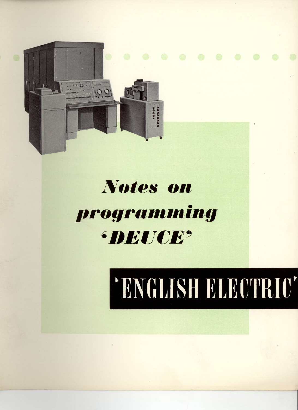

### *Notes on programming 'DEUCE'*

# **ENGLISH ELECTRIC**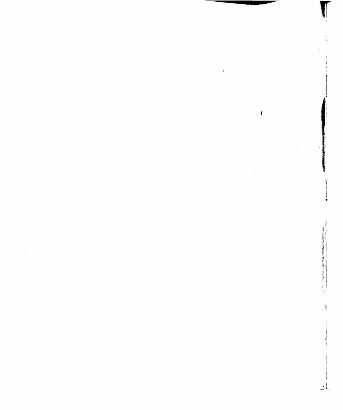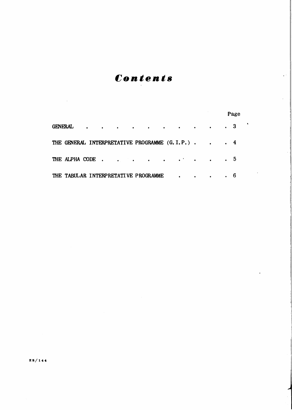*Contents*

|                                                                                                                                                |           |   | Page |  |
|------------------------------------------------------------------------------------------------------------------------------------------------|-----------|---|------|--|
| <b>GENERAL</b><br>$\bullet$ .<br>$\bullet$<br>$\bullet$<br>$\bullet$<br>$\bullet$<br>$\bullet$<br>$\bullet$                                    |           |   | З    |  |
| THE GENERAL INTERPRETATIVE PROGRAMME (G. I.P.).                                                                                                |           |   |      |  |
| THE ALPHA CODE<br>and the contract of the con-<br>$\bullet$ . The set of $\bullet$<br>$\sim$<br><b>Contract Contract Contract</b><br>$\bullet$ | $\bullet$ | ٠ | 5    |  |
| THE TABULAR INTERPRETATIVE PROGRAMME                                                                                                           |           |   |      |  |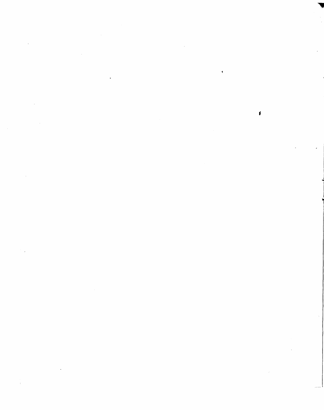$\label{eq:2.1} \frac{1}{\sqrt{2}}\int_{\mathbb{R}^3}\frac{1}{\sqrt{2}}\left(\frac{1}{\sqrt{2}}\right)^2\frac{1}{\sqrt{2}}\left(\frac{1}{\sqrt{2}}\right)^2\frac{1}{\sqrt{2}}\left(\frac{1}{\sqrt{2}}\right)^2\frac{1}{\sqrt{2}}\left(\frac{1}{\sqrt{2}}\right)^2.$  $\pmb{\mathfrak{g}}$  $\label{eq:2.1} \frac{1}{\sqrt{2}}\sum_{i=1}^n\frac{1}{\sqrt{2}}\sum_{i=1}^n\frac{1}{\sqrt{2}}\sum_{i=1}^n\frac{1}{\sqrt{2}}\sum_{i=1}^n\frac{1}{\sqrt{2}}\sum_{i=1}^n\frac{1}{\sqrt{2}}\sum_{i=1}^n\frac{1}{\sqrt{2}}\sum_{i=1}^n\frac{1}{\sqrt{2}}\sum_{i=1}^n\frac{1}{\sqrt{2}}\sum_{i=1}^n\frac{1}{\sqrt{2}}\sum_{i=1}^n\frac{1}{\sqrt{2}}\sum_{i=1}^n\frac$  $\mathcal{L}^{\text{max}}_{\text{max}}$  and  $\mathcal{L}^{\text{max}}_{\text{max}}$  $\label{eq:2.1} \mathcal{P}(\mathcal{F}) = \mathcal{P}(\mathcal{F})$ 

 $\label{eq:2.1} \frac{1}{2}\sum_{i=1}^n\frac{1}{2}\sum_{j=1}^n\frac{1}{2}\sum_{j=1}^n\frac{1}{2}\sum_{j=1}^n\frac{1}{2}\sum_{j=1}^n\frac{1}{2}\sum_{j=1}^n\frac{1}{2}\sum_{j=1}^n\frac{1}{2}\sum_{j=1}^n\frac{1}{2}\sum_{j=1}^n\frac{1}{2}\sum_{j=1}^n\frac{1}{2}\sum_{j=1}^n\frac{1}{2}\sum_{j=1}^n\frac{1}{2}\sum_{j=1}^n\frac{1}{2}\sum_{j=1}^n\$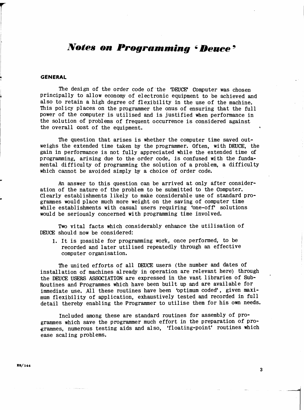#### *Notes on Programming 'Deuce'*

#### **GENERAL**

The design of the order code of the 'DEUCE' Computer was chosen principally to allow economy of electronic equipment to be achieved and also to retain a high degree of flexibility in the use of the machine. This policy places on the programmer the onus of ensuring that the full power of the computer is utilised and is justified when performance in the solution of problems of frequent occurrence is considered against the overall cost of the equipment.

The question that arises is whether the computer time saved outweighs the extended time taken by the programmer. Often, with DEUCE, the gain in performance is not fully appreciated while the extended time of programming, arising due to the order code, is confused with the fundamental difficulty of programming the solution of a problem, a difficulty which cannot be avoided simply by a choice of order code.

An answer to this question can be arrived at only after consideration of the nature of the problem to be submitted to the Computer. Clearly establishments likely to make considerable use of standard programmes would place much more weight on the saving of computer time while establishments with casual users requiring 'one-off' solutions would be seriously concerned with programming time involved.

Two vital facts which considerably enhance the utilisation of DEUCE should now be considered:

1. It is possible for programming work, once performed, to be recorded and later utilised repeatedly through an effective computer organisation.

The united efforts of all DEUCE users (the number and dates of installation of machines already in operation are relevant here) through the DEUCE USERS ASSOCIATION are expressed in the vast libraries of Sub-Routines and Programmes which have been built up and are available for immediate use. All these routines have been 'optimum coded', given maximum flexibility of application, exhaustively tested and recorded in full detail thereby enabling the Programmer to utilise them for his own needs.

Included among these are standard routines for assembly of programmes which save the programmer much effort in the preparation of programmes, numerous testing aids and also, 'floating-point' routines which ease scaling problems.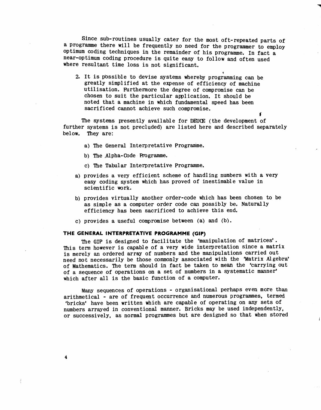Since sub-routines usually cater for the most oft-repeated parts of a programme there will be frequently no need for the programmer to employ optimum coding techniques in the remainder of his programme. In fact a near-optimum coding procedure is quite easy to follow and often used where resultant time loss is not significant.

2. It is possible to devise systems whereby programming can be greatly simplified at the expense of efficiency of machine utilisation. Furthermore the degree of compromise can be chosen to suit the particular application. It should be noted that a machine in which fundamental speed has been sacrificed cannot achieve such compromise.

The systems presently available for DEUCE (the development of further systems is not precluded) are listed here and described separately below. They are:

ď.

- a) The General Interpretative Programme.
- b) The .Alpha-Code Programme.
- c) The Tabular Interpretative Programme.
- a) provides a very efficient scheme of handling numbers with a very easy coding system which has proved of inestimable value in scientific work.
- b) provides virtually another order-code which has been chosen to be as simple as a computer order code can possibly be. Naturally efficiency has been sacrificed to achieve this end.
- c) provides a useful compromise between (a) and (b).

#### **THE GENERAL INTERPRETATIVE PROGRAMME (GIP)**

The GIP is designed to facilitate the 'manipulation of matrices'. This term however is capable of a very wide interpretation since a matrix is merely an ordered array of numbers and the manipulations carried out need not necessarily be those commonly associated with the 'Matrix Algebra' of Mathematics. The term should in fact be taken to mean the 'carrying out of a sequence of operations on a set of numbers in a systematic manner' which after all is the basic function of a computer.

Many sequences of operations - organisational perhaps even more than arithmetical - are of frequent occurrence and numerous programmes, termed 'bricks' have been written which are capable of operating on any sets of numbers arrayed in conventional manner. Bricks may be used independently, or successively, as normal programmes but are designed so that when stored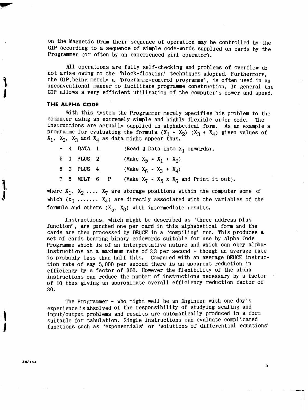on the Magnetic Drum their sequence of operation may be controlled by the GIP according to a sequence of simple code-words supplied on cards by the Programmer (or often by an experienced girl operator).

All operations are fully self-checking and problems of overflow do not arise owing to the 'block-floating' techniques adopted. Furthermore, the GIP,being merely a 'programme-control programme', is often used in an unconventional manner to facilitate programme construction. In general the GIP allows <sup>a</sup> very efficient utilisation of the computer's power and speed.

#### **THE ALPHA CODE**

With this system the Programmer merely specifies his problem to the computer using an extremely simple and highly flexible order code. The instructions are actually supplied in alphabetical form. As an example a programme for evaluating the formula  $(X_1 + X_2)$   $(X_3 + X_4)$  given values of  $X_1$ ,  $X_2$ ,  $X_3$  and  $X_4$  as data might appear thus.

|  | $-4$ DATA 1  |  | (Read 4 Data into $X_1$ onwards).              |
|--|--------------|--|------------------------------------------------|
|  | 5 1 PLUS 2   |  | (Make $X_5 = X_1 + X_2$ )                      |
|  | 6 3 PLUS 4   |  | (Make $X_6 = X_3 + X_4$ )                      |
|  | 7 5 MULT 6 P |  | (Make $X_7$ = $X_5$ x $X_6$ and Print it out). |

where  $X_1$ ,  $X_2$  ....  $X_7$  are storage positions within the computer some of which  $(x_1 \ldots x_4)$  are directly associated with the variables of the formula and others  $(X_5, X_6)$  with intermediate results.

Instructions, which might be described as 'three address plus function' , are punched one per card in this alphabetical form and the cards are then processed by DEUCE in a 'compiling' run. This produces a set of cards bearing binary codewords suitable for use by Alpha Code Programme which is of an interpretative nature and which can obey alphainstructions at a maximum rate of 33 per second - though an average rate is probably less than half this. Compared with an average DEUCE instruction rate of say 5,000 per second there is an apparent reduction in efficiency by a factor of 300. However the flexibility of the alpha instructions can reduce the number of instructions necessary by a factor of <sup>10</sup> thus giving an approximate overall efficiency reduction factor of 30.

The Programmer - who might well be an Engineer with one day's experience is absolved of the responsibility of studying scaling and input/output problems and results are automatically produced in a form suitable for tabulation. Single instructions can evaluate complicated functions such as 'exponentials' or 'solutions of differential equations'

**5**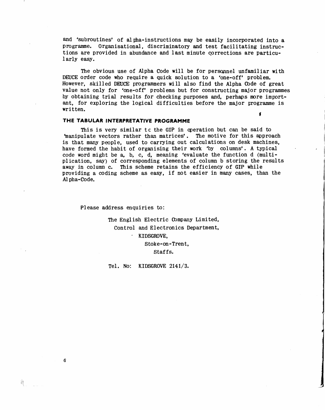and 'subroutines' of alpha-instructions may be easily incorporated into a programme. Organisational, discriminatory and test facilitating instructions are provided in abundance and last minute corrections are particularly easy.

The obvious use of Alpha Code will be for personnel unfamiliar with DEUCE order code who require a quick solution to a 'one-off' problem. However, skilled DEUCE programmers will also find the Alpha Code of great value not only for 'one-off' problems but for constructing major programmes by obtaining trial results for checking purposes and, perhaps more important, for exploring the logical difficulties before the major programme is written. *1*

#### **THE TABULAR INTERPRETATIVE PROGRAMME**

This is very similar tc the GIP in operation but can be said to ⅛anipulate vectors rather than matrices'. The motive for this approach is that many people, used to carrying out calculations on desk machines, have formed the habit of organising their work 'by columns'. <sup>A</sup> typical code word might be a, b, c, d, meaning 'evaluate the function d (multiplication, say) of corresponding elements of column b storing the results away in column c. This scheme retains the efficiency of GIP while providing <sup>a</sup> coding scheme as easy, if not easier in many cases, than the A1 pha-Code.

Please address enquiries to:

**6**

囯

The English Electric Company Limited, Control and Electronics Department, • KIDSGROVE, Stoke-on-Trent, Staffs.

Tel. No: KIDSGROVE 2141/3.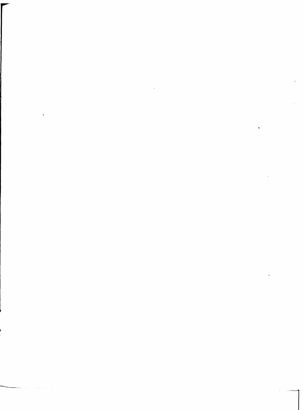